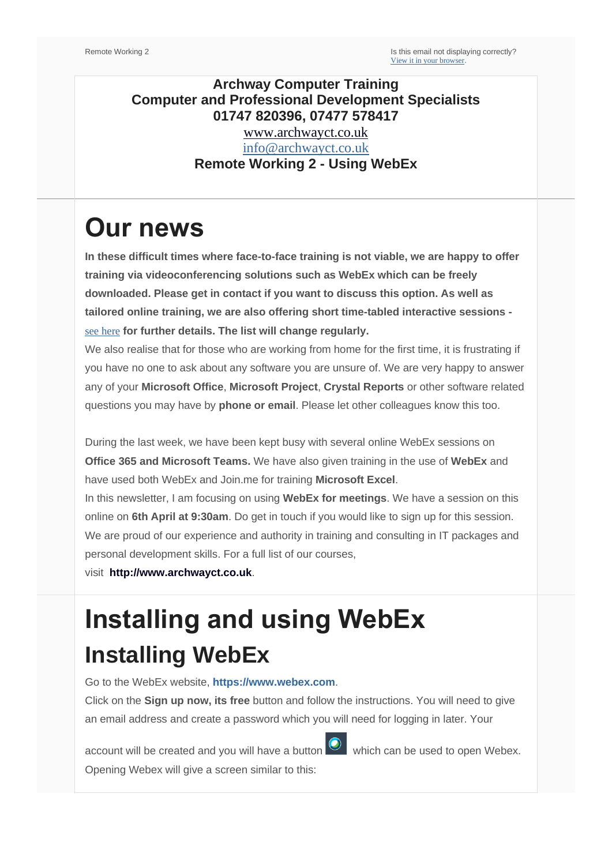### **Archway Computer Training Computer and Professional Development Specialists 01747 820396, 07477 578417** [www.archwayct.co.uk](http://www.archwayct.co.uk/) [info@archwayct.co.uk](mailto:%20info@archwayct.co.uk)

### **Remote Working 2 - Using WebEx**

# **Our news**

**In these difficult times where face-to-face training is not viable, we are happy to offer training via videoconferencing solutions such as WebEx which can be freely downloaded. Please get in contact if you want to discuss this option. As well as tailored online training, we are also offering short time-tabled interactive sessions**  [see here](http://www.archwayct.co.uk/online-training) **for further details. The list will change regularly.**

We also realise that for those who are working from home for the first time, it is frustrating if you have no one to ask about any software you are unsure of. We are very happy to answer any of your **Microsoft Office**, **Microsoft Project**, **Crystal Reports** or other software related questions you may have by **phone or email**. Please let other colleagues know this too.

During the last week, we have been kept busy with several online WebEx sessions on **Office 365 and Microsoft Teams.** We have also given training in the use of **WebEx** and have used both WebEx and Join.me for training **Microsoft Excel**.

In this newsletter, I am focusing on using **WebEx for meetings**. We have a session on this online on **6th April at 9:30am**. Do get in touch if you would like to sign up for this session. We are proud of our experience and authority in training and consulting in IT packages and personal development skills. For a full list of our courses,

visit **[http://www.archwayct.co.uk](http://www.archwayct.co.uk/)**.

# **Installing and using WebEx Installing WebEx**

Go to the WebEx website, **[https://www.webex.com](https://jmdtraining.us2.list-manage.com/track/click?u=57e6cd5c53ab47d556d5472c8&id=2a9db219b3&e=ab2a5c3008)**.

Click on the **Sign up now, its free** button and follow the instructions. You will need to give an email address and create a password which you will need for logging in later. Your

account will be created and you will have a button which can be used to open Webex. Opening Webex will give a screen similar to this: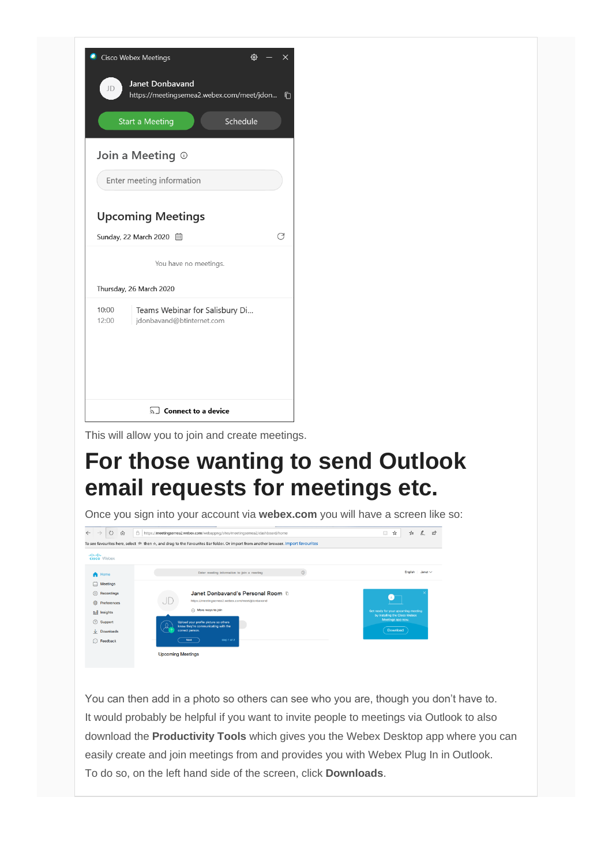

This will allow you to join and create meetings.

## **For those wanting to send Outlook email requests for meetings etc.**

Once you sign into your account via **webex.com** you will have a screen like so:



You can then add in a photo so others can see who you are, though you don't have to. It would probably be helpful if you want to invite people to meetings via Outlook to also download the **Productivity Tools** which gives you the Webex Desktop app where you can easily create and join meetings from and provides you with Webex Plug In in Outlook. To do so, on the left hand side of the screen, click **Downloads**.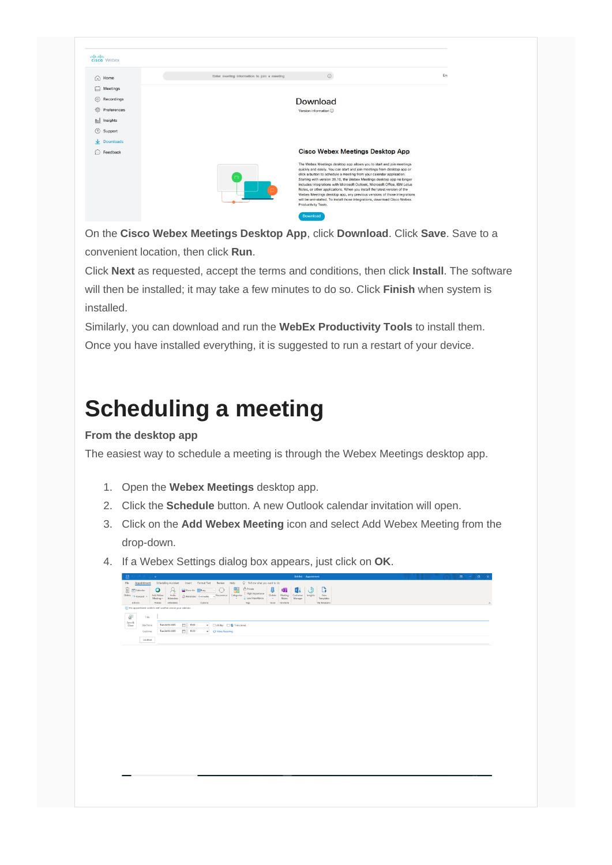| albah.<br>cisco Webex    |                                             |                                                                                                                                                                                                                                                                                                                                                                                                                                                                                                                                                                                                                                         |     |
|--------------------------|---------------------------------------------|-----------------------------------------------------------------------------------------------------------------------------------------------------------------------------------------------------------------------------------------------------------------------------------------------------------------------------------------------------------------------------------------------------------------------------------------------------------------------------------------------------------------------------------------------------------------------------------------------------------------------------------------|-----|
| ⋒<br>Home                | Enter meeting information to join a meeting | $\odot$                                                                                                                                                                                                                                                                                                                                                                                                                                                                                                                                                                                                                                 | Eng |
| ่<br>Meetings            |                                             |                                                                                                                                                                                                                                                                                                                                                                                                                                                                                                                                                                                                                                         |     |
| $^{\circ}$<br>Recordings |                                             | Download                                                                                                                                                                                                                                                                                                                                                                                                                                                                                                                                                                                                                                |     |
| <b>@</b><br>Preferences  |                                             | Version information ©                                                                                                                                                                                                                                                                                                                                                                                                                                                                                                                                                                                                                   |     |
| Doll Insights            |                                             |                                                                                                                                                                                                                                                                                                                                                                                                                                                                                                                                                                                                                                         |     |
| $^{\circ}$<br>Support    |                                             |                                                                                                                                                                                                                                                                                                                                                                                                                                                                                                                                                                                                                                         |     |
| $\downarrow$ Downloads   |                                             |                                                                                                                                                                                                                                                                                                                                                                                                                                                                                                                                                                                                                                         |     |
| Feedback<br>63           |                                             | Cisco Webex Meetings Desktop App                                                                                                                                                                                                                                                                                                                                                                                                                                                                                                                                                                                                        |     |
|                          |                                             | The Webex Meetings desktop app allows you to start and join meetings<br>quickly and easily. You can start and join meetings from desktop app or<br>click a button to schedule a meeting from your calendar application.<br>Starting with version 39.10, the Webex Meetings desktop app no longer<br>includes integrations with Microsoft Outlook, Microsoft Office, IBM Lotus<br>Notes, or other applications. When you install the latest version of the<br>Webex Meetings desktop app, any previous versions of those integrations<br>will be uninstalled. To install those integrations, download Cisco Webex<br>Productivity Tools. |     |
|                          |                                             | Download                                                                                                                                                                                                                                                                                                                                                                                                                                                                                                                                                                                                                                |     |

On the **Cisco Webex Meetings Desktop App**, click **Download**. Click **Save**. Save to a convenient location, then click **Run**.

Click **Next** as requested, accept the terms and conditions, then click **Install**. The software will then be installed; it may take a few minutes to do so. Click **Finish** when system is installed.

Similarly, you can download and run the **WebEx Productivity Tools** to install them. Once you have installed everything, it is suggested to run a restart of your device.

## **Scheduling a meeting**

#### **From the desktop app**

The easiest way to schedule a meeting is through the Webex Meetings desktop app.

- 1. Open the **Webex Meetings** desktop app.
- 2. Click the **Schedule** button. A new Outlook calendar invitation will open.
- 3. Click on the **Add Webex Meeting** icon and select Add Webex Meeting from the drop-down.
- 4. If a Webex Settings dialog box appears, just click on **OK**.

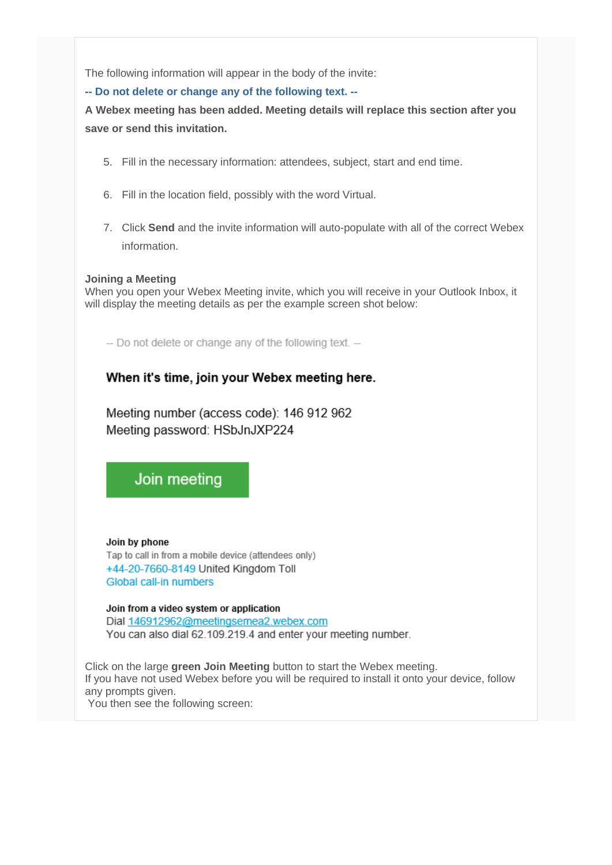The following information will appear in the body of the invite:

**-- Do not delete or change any of the following text. --**

**A Webex meeting has been added. Meeting details will replace this section after you save or send this invitation.**

- 5. Fill in the necessary information: attendees, subject, start and end time.
- 6. Fill in the location field, possibly with the word Virtual.
- 7. Click **Send** and the invite information will auto-populate with all of the correct Webex information.

#### **Joining a Meeting**

When you open your Webex Meeting invite, which you will receive in your Outlook Inbox, it will display the meeting details as per the example screen shot below:

-- Do not delete or change any of the following text. --

#### When it's time, join your Webex meeting here.

Meeting number (access code): 146 912 962 Meeting password: HSbJnJXP224

Join meeting

#### Join by phone Tap to call in from a mobile device (attendees only) +44-20-7660-8149 United Kingdom Toll Global call-in numbers

#### Join from a video system or application

Dial 146912962@meetingsemea2.webex.com You can also dial 62.109.219.4 and enter your meeting number.

Click on the large **green Join Meeting** button to start the Webex meeting. If you have not used Webex before you will be required to install it onto your device, follow any prompts given. You then see the following screen: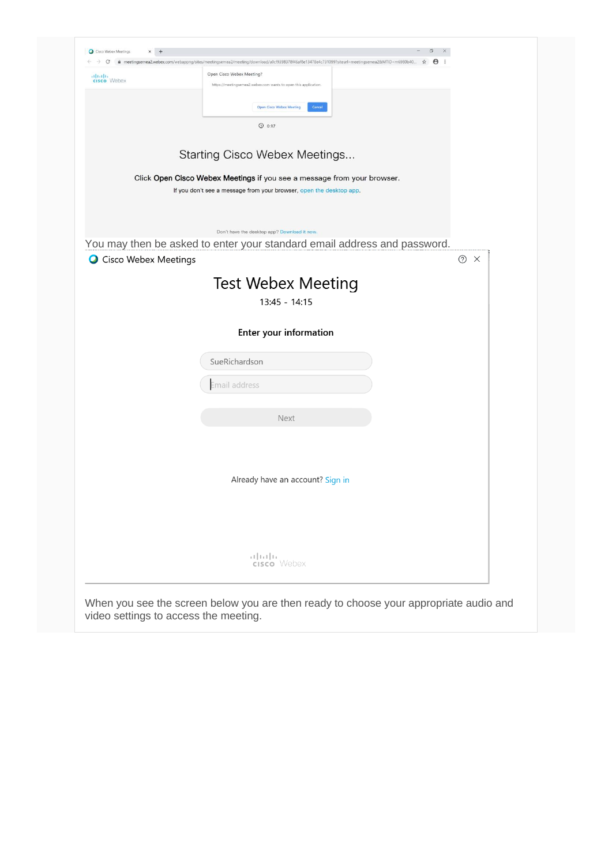| albaha<br>cisco Webex  | Open Cisco Webex Meeting?<br>https://meetingsemea2.webex.com wants to open this application.                             |  |
|------------------------|--------------------------------------------------------------------------------------------------------------------------|--|
|                        | <b>Open Cisco Webex Meeting</b><br>Cancel                                                                                |  |
|                        | $Q$ 0:17                                                                                                                 |  |
|                        |                                                                                                                          |  |
|                        | Starting Cisco Webex Meetings                                                                                            |  |
|                        | Click Open Cisco Webex Meetings if you see a message from your browser.                                                  |  |
|                        | If you don't see a message from your browser, open the desktop app.                                                      |  |
|                        |                                                                                                                          |  |
|                        | Don't have the desktop app? Download it now.<br>You may then be asked to enter your standard email address and password. |  |
| O Cisco Webex Meetings | $\odot$ $\times$                                                                                                         |  |
|                        | <b>Test Webex Meeting</b>                                                                                                |  |
|                        | $13:45 - 14:15$                                                                                                          |  |
|                        |                                                                                                                          |  |
|                        | <b>Enter your information</b>                                                                                            |  |
|                        | SueRichardson                                                                                                            |  |
|                        | Email address                                                                                                            |  |
|                        |                                                                                                                          |  |
|                        | <b>Next</b>                                                                                                              |  |
|                        |                                                                                                                          |  |
|                        |                                                                                                                          |  |
|                        | Already have an account? Sign in                                                                                         |  |
|                        |                                                                                                                          |  |
|                        |                                                                                                                          |  |
|                        |                                                                                                                          |  |
|                        | تنازلتنا إند<br>cisco Webex                                                                                              |  |
|                        |                                                                                                                          |  |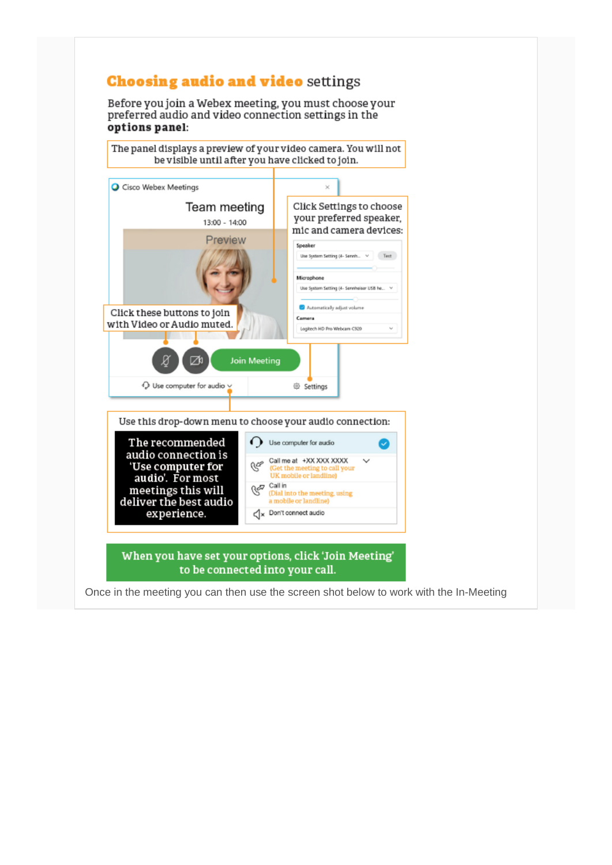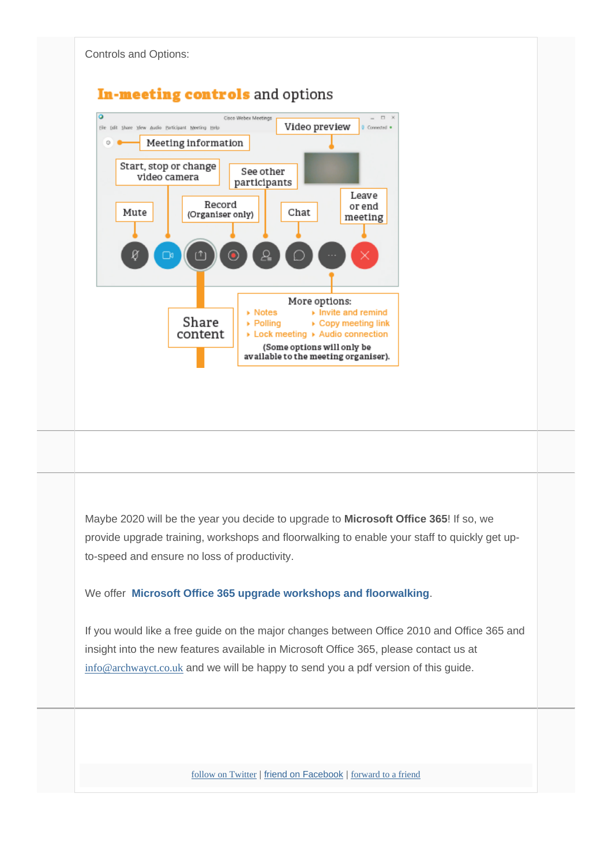